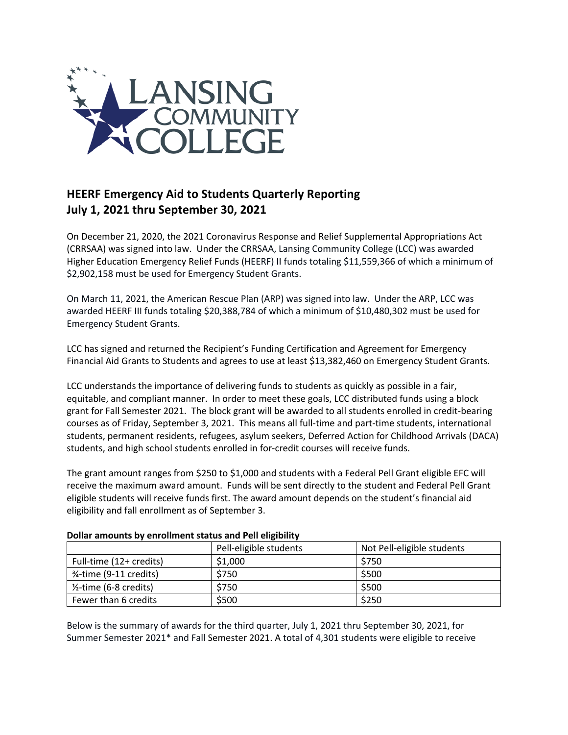

## **HEERF Emergency Aid to Students Quarterly Reporting July 1, 2021 thru September 30, 2021**

On December 21, 2020, the 2021 Coronavirus Response and Relief Supplemental Appropriations Act (CRRSAA) was signed into law. Under the CRRSAA, Lansing Community College (LCC) was awarded Higher Education Emergency Relief Funds (HEERF) II funds totaling \$11,559,366 of which a minimum of \$2,902,158 must be used for Emergency Student Grants.

On March 11, 2021, the American Rescue Plan (ARP) was signed into law. Under the ARP, LCC was awarded HEERF III funds totaling \$20,388,784 of which a minimum of \$10,480,302 must be used for Emergency Student Grants.

LCC has signed and returned the Recipient's Funding Certification and Agreement for Emergency Financial Aid Grants to Students and agrees to use at least \$13,382,460 on Emergency Student Grants.

LCC understands the importance of delivering funds to students as quickly as possible in a fair, equitable, and compliant manner. In order to meet these goals, LCC distributed funds using a block grant for Fall Semester 2021. The block grant will be awarded to all students enrolled in credit-bearing courses as of Friday, September 3, 2021. This means all full-time and part-time students, international students, permanent residents, refugees, asylum seekers, Deferred Action for Childhood Arrivals (DACA) students, and high school students enrolled in for-credit courses will receive funds.

The grant amount ranges from \$250 to \$1,000 and students with a Federal Pell Grant eligible EFC will receive the maximum award amount. Funds will be sent directly to the student and Federal Pell Grant eligible students will receive funds first. The award amount depends on the student's financial aid eligibility and fall enrollment as of September 3.

|                                      | Pell-eligible students | Not Pell-eligible students |
|--------------------------------------|------------------------|----------------------------|
| Full-time (12+ credits)              | \$1,000                | \$750                      |
| 3/ <sub>4</sub> -time (9-11 credits) | \$750                  | \$500                      |
| $\frac{1}{2}$ -time (6-8 credits)    | \$750                  | \$500                      |
| Fewer than 6 credits                 | \$500                  | \$250                      |

## **Dollar amounts by enrollment status and Pell eligibility**

Below is the summary of awards for the third quarter, July 1, 2021 thru September 30, 2021, for Summer Semester 2021\* and Fall Semester 2021. A total of 4,301 students were eligible to receive